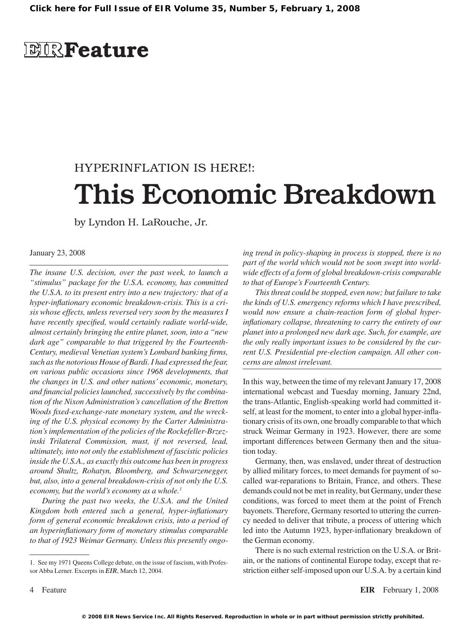## **EIRFeature**

# HYPERINFLATION IS HERE!: This Economic Breakdown

by Lyndon H. LaRouche, Jr.

### January 23, 2008

*The insane U.S. decision, over the past week, to launch a "stimulus" package for the U.S.A. economy, has committed the U.S.A. to its present entry into a new trajectory: that of a hyper-inflationary economic breakdown-crisis. This is a crisis whose effects, unless reversed very soon by the measures I have recently specified, would certainly radiate world-wide, almost certainly bringing the entire planet, soon, into a "new dark age" comparable to that triggered by the Fourteenth-Century, medieval Venetian system's Lombard banking firms, such as the notorious House of Bardi. I had expressed the fear, on various public occasions since 1968 developments, that the changes in U.S. and other nations' economic, monetary, and financial policies launched, successively by the combination of the Nixon Administration's cancellation of the Bretton Woods fixed-exchange-rate monetary system, and the wrecking of the U.S. physical economy by the Carter Administration's implementation of the policies of the Rockefeller-Brzezinski Trilateral Commission, must, if not reversed, lead, ultimately, into not only the establishment of fascistic policies inside the U.S.A., as exactly this outcome has been in progress around Shultz, Rohatyn, Bloomberg, and Schwarzenegger, but, also, into a general breakdown-crisis of not only the U.S. economy, but the world's economy as a whole.1*

*During the past two weeks, the U.S.A. and the United Kingdom both entered such a general, hyper-inflationary*  form of general economic breakdown crisis, into a period of *an hyperinflationary form of monetary stimulus comparable to that of 1923 Weimar Germany. Unless this presently ongo-*

1. See my 1971 Queens College debate, on the issue of fascism, with Professor Abba Lerner. Excerpts in *EIR*, March 12, 2004.

*ing trend in policy-shaping in process is stopped, there is no part of the world which would not be soon swept into worldwide effects of a form of global breakdown-crisis comparable to that of Europe's Fourteenth Century.*

*This threat could be stopped, even now; but failure to take the kinds of U.S. emergency reforms which I have prescribed, would now ensure a chain-reaction form of global hyperinflationary collapse, threatening to carry the entirety of our planet into a prolonged new dark age. Such, for example, are the only really important issues to be considered by the current U.S. Presidential pre-election campaign. All other concerns are almost irrelevant.*

In this way, between the time of my relevant January 17, 2008 international webcast and Tuesday morning, January 22nd, the trans-Atlantic, English-speaking world had committed itself, at least for the moment, to enter into a global hyper-inflationary crisis of its own, one broadly comparable to that which struck Weimar Germany in 1923. However, there are some important differences between Germany then and the situation today.

Germany, then, was enslaved, under threat of destruction by allied military forces, to meet demands for payment of socalled war-reparations to Britain, France, and others. These demands could not be met in reality, but Germany, under these conditions, was forced to meet them at the point of French bayonets. Therefore, Germany resorted to uttering the currency needed to deliver that tribute, a process of uttering which led into the Autumn 1923, hyper-inflationary breakdown of the German economy.

There is no such external restriction on the U.S.A. or Britain, or the nations of continental Europe today, except that restriction either self-imposed upon our U.S.A. by a certain kind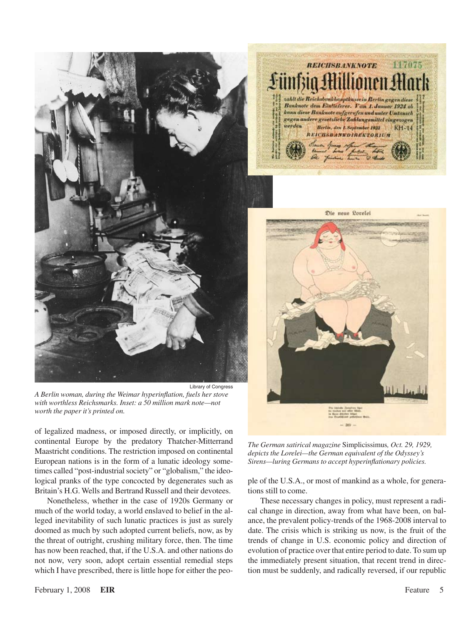

![](_page_1_Picture_1.jpeg)

Die neue Lorelei

Library of Congress *A Berlin woman, during the Weimar hyperinflation, fuels her stove with worthless Reichsmarks. Inset: a 50 million mark note—not worth the paper it's printed on.*

of legalized madness, or imposed directly, or implicitly, on continental Europe by the predatory Thatcher-Mitterrand Maastricht conditions. The restriction imposed on continental European nations is in the form of a lunatic ideology sometimes called "post-industrial society" or "globalism," the ideological pranks of the type concocted by degenerates such as Britain's H.G. Wells and Bertrand Russell and their devotees.

Nonetheless, whether in the case of 1920s Germany or much of the world today, a world enslaved to belief in the alleged inevitability of such lunatic practices is just as surely doomed as much by such adopted current beliefs, now, as by the threat of outright, crushing military force, then. The time has now been reached, that, if the U.S.A. and other nations do not now, very soon, adopt certain essential remedial steps which I have prescribed, there is little hope for either the peo-

*The German satirical magazine* Simplicissimus*, Oct. 29, 1929, depicts the Lorelei—the German equivalent of the Odyssey's Sirens—luring Germans to accept hyperinflationary policies.*

ple of the U.S.A., or most of mankind as a whole, for generations still to come.

These necessary changes in policy, must represent a radical change in direction, away from what have been, on balance, the prevalent policy-trends of the 1968-2008 interval to date. The crisis which is striking us now, is the fruit of the trends of change in U.S. economic policy and direction of evolution of practice over that entire period to date. To sum up the immediately present situation, that recent trend in direction must be suddenly, and radically reversed, if our republic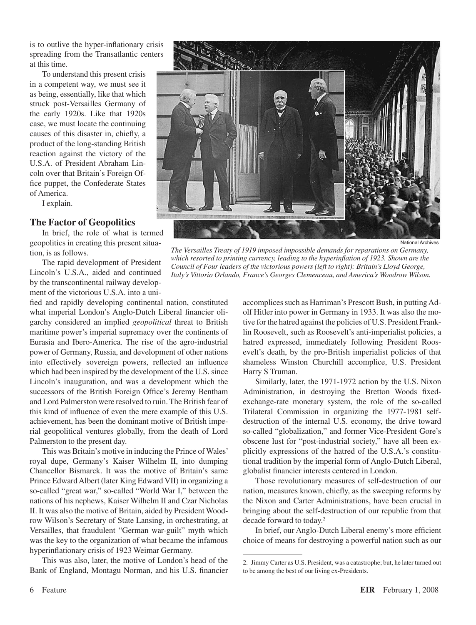is to outlive the hyper-inflationary crisis spreading from the Transatlantic centers at this time.

To understand this present crisis in a competent way, we must see it as being, essentially, like that which struck post-Versailles Germany of the early 1920s. Like that 1920s case, we must locate the continuing causes of this disaster in, chiefly, a product of the long-standing British reaction against the victory of the U.S.A. of President Abraham Lincoln over that Britain's Foreign Office puppet, the Confederate States of America.

I explain.

## **The Factor of Geopolitics**

In brief, the role of what is termed geopolitics in creating this present situation, is as follows.

The rapid development of President Lincoln's U.S.A., aided and continued by the transcontinental railway development of the victorious U.S.A. into a uni-

fied and rapidly developing continental nation, constituted what imperial London's Anglo-Dutch Liberal financier oligarchy considered an implied *geopolitical* threat to British maritime power's imperial supremacy over the continents of Eurasia and Ibero-America. The rise of the agro-industrial power of Germany, Russia, and development of other nations into effectively sovereign powers, reflected an influence which had been inspired by the development of the U.S. since Lincoln's inauguration, and was a development which the successors of the British Foreign Office's Jeremy Bentham and Lord Palmerston were resolved to ruin.The British fear of this kind of influence of even the mere example of this U.S. achievement, has been the dominant motive of British imperial geopolitical ventures globally, from the death of Lord Palmerston to the present day.

This was Britain's motive in inducing the Prince of Wales' royal dupe, Germany's Kaiser Wilhelm II, into dumping Chancellor Bismarck. It was the motive of Britain's same Prince EdwardAlbert (later King Edward VII) in organizing a so-called "great war," so-called "World War I," between the nations of his nephews, Kaiser Wilhelm II and Czar Nicholas II. It was also the motive of Britain, aided by President Woodrow Wilson's Secretary of State Lansing, in orchestrating, at Versailles, that fraudulent "German war-guilt" myth which was the key to the organization of what became the infamous hyperinflationary crisis of 1923 Weimar Germany.

This was also, later, the motive of London's head of the Bank of England, Montagu Norman, and his U.S. financier

![](_page_2_Picture_9.jpeg)

*The Versailles Treaty of 1919 imposed impossible demands for reparations on Germany, which resorted to printing currency, leading to the hyperinflation of 1923. Shown are the Council of Four leaders of the victorious powers (left to right): Britain's Lloyd George, Italy's Vittorio Orlando, France's Georges Clemenceau, and America's Woodrow Wilson.*

accomplices such as Harriman's Prescott Bush, in putting Adolf Hitler into power in Germany in 1933. It was also the motive for the hatred against the policies of U.S. President Franklin Roosevelt, such as Roosevelt's anti-imperialist policies, a hatred expressed, immediately following President Roosevelt's death, by the pro-British imperialist policies of that shameless Winston Churchill accomplice, U.S. President Harry S Truman.

Similarly, later, the 1971-1972 action by the U.S. Nixon Administration, in destroying the Bretton Woods fixedexchange-rate monetary system, the role of the so-called Trilateral Commission in organizing the 1977-1981 selfdestruction of the internal U.S. economy, the drive toward so-called "globalization," and former Vice-President Gore's obscene lust for "post-industrial society," have all been explicitly expressions of the hatred of the U.S.A.'s constitutional tradition by the imperial form of Anglo-Dutch Liberal, globalist financier interests centered in London.

Those revolutionary measures of self-destruction of our nation, measures known, chiefly, as the sweeping reforms by the Nixon and Carter Administrations, have been crucial in bringing about the self-destruction of our republic from that decade forward to today.2

In brief, our Anglo-Dutch Liberal enemy's more efficient choice of means for destroying a powerful nation such as our

<sup>2.</sup> Jimmy Carter as U.S. President, was a catastrophe; but, he later turned out to be among the best of our living ex-Presidents.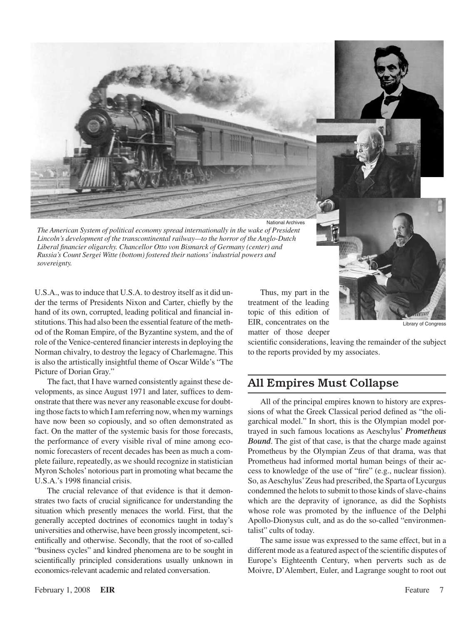![](_page_3_Picture_0.jpeg)

*The American System of political economy spread internationally in the wake of President Lincoln's development of the transcontinental railway—to the horror of the Anglo-Dutch Liberal financier oligarchy. Chancellor Otto von Bismarck of Germany (center) and Russia's Count Sergei Witte (bottom) fostered their nations' industrial powers and sovereignty.*

U.S.A., was to induce that U.S.A. to destroy itself as it did under the terms of Presidents Nixon and Carter, chiefly by the hand of its own, corrupted, leading political and financial institutions. This had also been the essential feature of the method of the Roman Empire, of the Byzantine system, and the of role of the Venice-centered financier interests in deploying the Norman chivalry, to destroy the legacy of Charlemagne. This is also the artistically insightful theme of Oscar Wilde's "The Picture of Dorian Gray."

The fact, that I have warned consistently against these developments, as since August 1971 and later, suffices to demonstrate that there was never any reasonable excuse for doubting those facts to which I am referring now, when my warnings have now been so copiously, and so often demonstrated as fact. On the matter of the systemic basis for those forecasts, the performance of every visible rival of mine among economic forecasters of recent decades has been as much a complete failure, repeatedly, as we should recognize in statistician Myron Scholes' notorious part in promoting what became the U.S.A.'s 1998 financial crisis.

The crucial relevance of that evidence is that it demonstrates two facts of crucial significance for understanding the situation which presently menaces the world. First, that the generally accepted doctrines of economics taught in today's universities and otherwise, have been grossly incompetent, scientifically and otherwise. Secondly, that the root of so-called "business cycles" and kindred phenomena are to be sought in scientifically principled considerations usually unknown in economics-relevant academic and related conversation.

Thus, my part in the treatment of the leading topic of this edition of EIR, concentrates on the matter of those deeper

Library of Congress

scientific considerations, leaving the remainder of the subject to the reports provided by my associates.

## All Empires Must Collapse

All of the principal empires known to history are expressions of what the Greek Classical period defined as "the oligarchical model." In short, this is the Olympian model portrayed in such famous locations as Aeschylus' *Prometheus Bound*. The gist of that case, is that the charge made against Prometheus by the Olympian Zeus of that drama, was that Prometheus had informed mortal human beings of their access to knowledge of the use of "fire" (e.g., nuclear fission). So, as Aeschylus' Zeus had prescribed, the Sparta of Lycurgus condemned the helots to submit to those kinds of slave-chains which are the depravity of ignorance, as did the Sophists whose role was promoted by the influence of the Delphi Apollo-Dionysus cult, and as do the so-called "environmentalist" cults of today.

The same issue was expressed to the same effect, but in a different mode as a featured aspect of the scientific disputes of Europe's Eighteenth Century, when perverts such as de Moivre, D'Alembert, Euler, and Lagrange sought to root out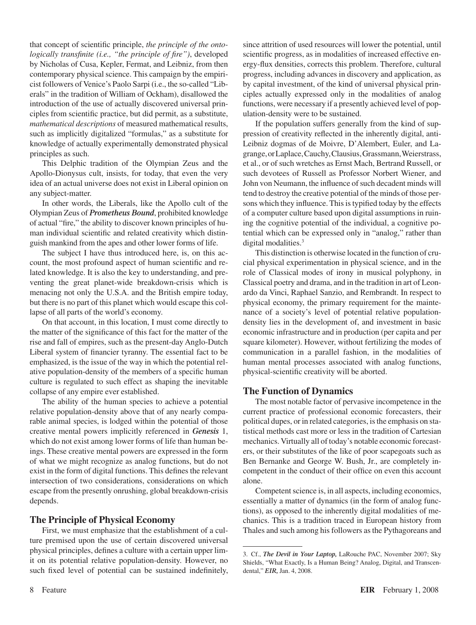that concept of scientific principle, *the principle of the ontologically transfinite (i.e., "the principle of fire")*, developed by Nicholas of Cusa, Kepler, Fermat, and Leibniz, from then contemporary physical science. This campaign by the empiricist followers of Venice's Paolo Sarpi (i.e., the so-called "Liberals" in the tradition of William of Ockham), disallowed the introduction of the use of actually discovered universal principles from scientific practice, but did permit, as a substitute, *mathematical descriptions* of measured mathematical results, such as implicitly digitalized "formulas," as a substitute for knowledge of actually experimentally demonstrated physical principles as such.

This Delphic tradition of the Olympian Zeus and the Apollo-Dionysus cult, insists, for today, that even the very idea of an actual universe does not exist in Liberal opinion on any subject-matter.

In other words, the Liberals, like the Apollo cult of the Olympian Zeus of *Prometheus Bound*, prohibited knowledge of actual "fire," the ability to discover known principles of human individual scientific and related creativity which distinguish mankind from the apes and other lower forms of life.

The subject I have thus introduced here, is, on this account, the most profound aspect of human scientific and related knowledge. It is also the key to understanding, and preventing the great planet-wide breakdown-crisis which is menacing not only the U.S.A. and the British empire today, but there is no part of this planet which would escape this collapse of all parts of the world's economy.

On that account, in this location, I must come directly to the matter of the significance of this fact for the matter of the rise and fall of empires, such as the present-day Anglo-Dutch Liberal system of financier tyranny. The essential fact to be emphasized, is the issue of the way in which the potential relative population-density of the members of a specific human culture is regulated to such effect as shaping the inevitable collapse of any empire ever established.

The ability of the human species to achieve a potential relative population-density above that of any nearly comparable animal species, is lodged within the potential of those creative mental powers implicitly referenced in *Genesis* 1, which do not exist among lower forms of life than human beings. These creative mental powers are expressed in the form of what we might recognize as analog functions, but do not exist in the form of digital functions. This defines the relevant intersection of two considerations, considerations on which escape from the presently onrushing, global breakdown-crisis depends.

### **The Principle of Physical Economy**

First, we must emphasize that the establishment of a culture premised upon the use of certain discovered universal physical principles, defines a culture with a certain upper limit on its potential relative population-density. However, no such fixed level of potential can be sustained indefinitely, since attrition of used resources will lower the potential, until scientific progress, as in modalities of increased effective energy-flux densities, corrects this problem. Therefore, cultural progress, including advances in discovery and application, as by capital investment, of the kind of universal physical principles actually expressed only in the modalities of analog functions, were necessary if a presently achieved level of population-density were to be sustained.

If the population suffers generally from the kind of suppression of creativity reflected in the inherently digital, anti-Leibniz dogmas of de Moivre, D'Alembert, Euler, and Lagrange,orLaplace,Cauchy,Clausius,Grassmann,Weierstrass, et al., or of such wretches as Ernst Mach, Bertrand Russell, or such devotees of Russell as Professor Norbert Wiener, and John von Neumann, the influence of such decadent minds will tend to destroy the creative potential of the minds of those persons which they influence. This is typified today by the effects of a computer culture based upon digital assumptions in ruining the cognitive potential of the individual, a cognitive potential which can be expressed only in "analog," rather than digital modalities.<sup>3</sup>

This distinction is otherwise located in the function of crucial physical experimentation in physical science, and in the role of Classical modes of irony in musical polyphony, in Classical poetry and drama, and in the tradition in art of Leonardo da Vinci, Raphael Sanzio, and Rembrandt. In respect to physical economy, the primary requirement for the maintenance of a society's level of potential relative populationdensity lies in the development of, and investment in basic economic infrastructure and in production (per capita and per square kilometer). However, without fertilizing the modes of communication in a parallel fashion, in the modalities of human mental processes associated with analog functions, physical-scientific creativity will be aborted.

## **The Function of Dynamics**

The most notable factor of pervasive incompetence in the current practice of professional economic forecasters, their political dupes, or in related categories, isthe emphasis on statistical methods cast more or less in the tradition of Cartesian mechanics. Virtually all of today's notable economic forecasters, or their substitutes of the like of poor scapegoats such as Ben Bernanke and George W. Bush, Jr., are completely incompetent in the conduct of their office on even this account alone.

Competent science is, in all aspects, including economics, essentially a matter of dynamics (in the form of analog functions), as opposed to the inherently digital modalities of mechanics. This is a tradition traced in European history from Thales and such among his followers as the Pythagoreans and

<sup>3.</sup> Cf., *The Devil in Your Laptop,* LaRouche PAC, November 2007; Sky Shields, "What Exactly, Is a Human Being? Analog, Digital, and Transcendental," *EIR,* Jan. 4, 2008.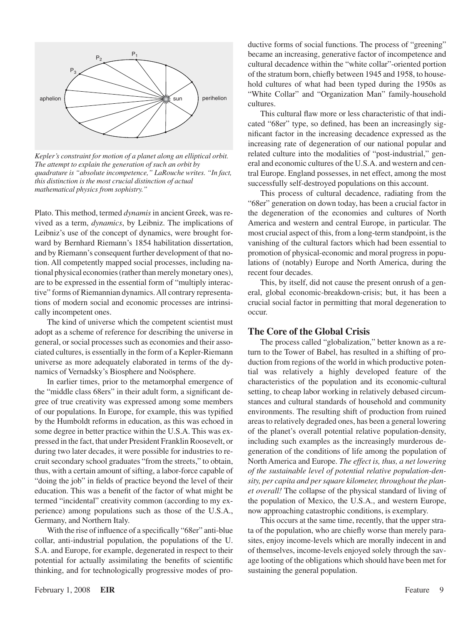![](_page_5_Figure_0.jpeg)

*Kepler's constraint for motion of a planet along an elliptical orbit. The attempt to explain the generation of such an orbit by quadrature is "absolute incompetence," LaRouche writes. "In fact, this distinction is the most crucial distinction of actual mathematical physics from sophistry."*

Plato. This method, termed *dynamis* in ancient Greek, was revived as a term, *dynamics*, by Leibniz. The implications of Leibniz's use of the concept of dynamics, were brought forward by Bernhard Riemann's 1854 habilitation dissertation, and by Riemann's consequent further development of that notion. All competently mapped social processes, including national physical economies (rather than merely monetary ones), are to be expressed in the essential form of "multiply interactive" forms of Riemannian dynamics.All contrary representations of modern social and economic processes are intrinsically incompetent ones.

The kind of universe which the competent scientist must adopt as a scheme of reference for describing the universe in general, or social processes such as economies and their associated cultures, is essentially in the form of a Kepler-Riemann universe as more adequately elaborated in terms of the dynamics of Vernadsky's Biosphere and Noösphere.

In earlier times, prior to the metamorphal emergence of the "middle class 68ers" in their adult form, a significant degree of true creativity was expressed among some members of our populations. In Europe, for example, this was typified by the Humboldt reforms in education, as this was echoed in some degree in better practice within the U.S.A. This was expressed in the fact, that under President Franklin Roosevelt, or during two later decades, it were possible for industries to recruit secondary school graduates "from the streets," to obtain, thus, with a certain amount of sifting, a labor-force capable of "doing the job" in fields of practice beyond the level of their education. This was a benefit of the factor of what might be termed "incidental" creativity common (according to my experience) among populations such as those of the U.S.A., Germany, and Northern Italy.

With the rise of influence of a specifically "68er" anti-blue collar, anti-industrial population, the populations of the U. S.A. and Europe, for example, degenerated in respect to their potential for actually assimilating the benefits of scientific thinking, and for technologically progressive modes of productive forms of social functions. The process of "greening" became an increasing, generative factor of incompetence and cultural decadence within the "white collar"-oriented portion of the stratum born, chiefly between 1945 and 1958, to household cultures of what had been typed during the 1950s as "White Collar" and "Organization Man" family-household cultures.

This cultural flaw more or less characteristic of that indicated "68er" type, so defined, has been an increasingly significant factor in the increasing decadence expressed as the increasing rate of degeneration of our national popular and related culture into the modalities of "post-industrial," general and economic cultures of the U.S.A. and western and central Europe. England possesses, in net effect, among the most successfully self-destroyed populations on this account.

This process of cultural decadence, radiating from the "68er" generation on down today, has been a crucial factor in the degeneration of the economies and cultures of North America and western and central Europe, in particular. The most crucial aspect of this, from a long-term standpoint, is the vanishing of the cultural factors which had been essential to promotion of physical-economic and moral progress in populations of (notably) Europe and North America, during the recent four decades.

This, by itself, did not cause the present onrush of a general, global economic-breakdown-crisis; but, it has been a crucial social factor in permitting that moral degeneration to occur.

## **The Core of the Global Crisis**

The process called "globalization," better known as a return to the Tower of Babel, has resulted in a shifting of production from regions of the world in which productive potential was relatively a highly developed feature of the characteristics of the population and its economic-cultural setting, to cheap labor working in relatively debased circumstances and cultural standards of household and community environments. The resulting shift of production from ruined areasto relatively degraded ones, has been a general lowering of the planet's overall potential relative population-density, including such examples as the increasingly murderous degeneration of the conditions of life among the population of North America and Europe. *The effect is, thus, a net lowering of the sustainable level of potential relative population-density, per capita and per square kilometer, throughout the planet overall!* The collapse of the physical standard of living of the population of Mexico, the U.S.A., and western Europe, now approaching catastrophic conditions, is exemplary.

This occurs at the same time, recently, that the upper strata of the population, who are chiefly worse than merely parasites, enjoy income-levels which are morally indecent in and of themselves, income-levels enjoyed solely through the savage looting of the obligations which should have been met for sustaining the general population.